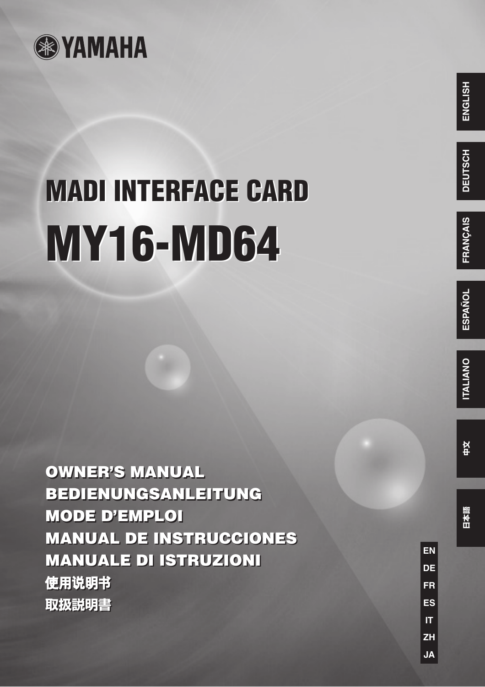

# **MADI INTERFACE CARD MADI INTERFACE CARD MY16-MD64**

**OWNER'S MANUAL OWNER'S MANUAL BEDIENUNGSANLEITUNG BEDIENUNGSANLEITUNG MODE D'EMPLOI MODE D'EMPLOI MANUAL DE INSTRUCCIONES MANUAL DE INSTRUCCIONES MANUALE DI ISTRUZIONI MANUALE DI ISTRUZIONI** 使用说明书 **取扱説明書 取扱説明書**

ENGLISH

*MY16-MD64 Owner's Manual* **1**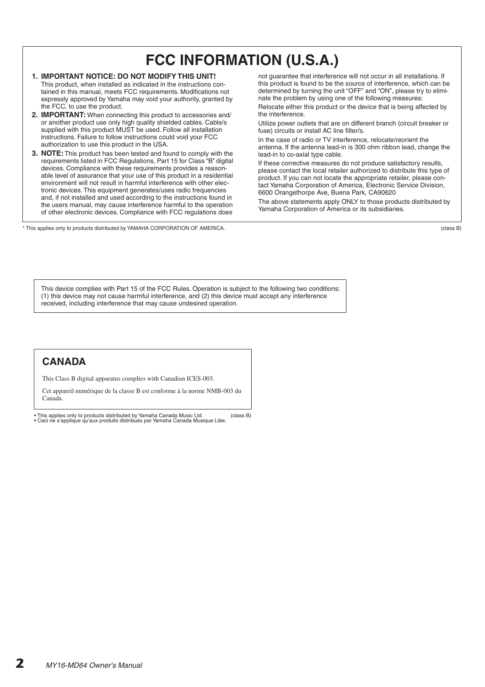# **FCC INFORMATION (U.S.A.)**

- **1. IMPORTANT NOTICE: DO NOT MODIFY THIS UNIT!** This product, when installed as indicated in the instructions contained in this manual, meets FCC requirements. Modifications not expressly approved by Yamaha may void your authority, granted by the FCC, to use the product.
- **2. IMPORTANT:** When connecting this product to accessories and/ or another product use only high quality shielded cables. Cable/s supplied with this product MUST be used. Follow all installation instructions. Failure to follow instructions could void your FCC authorization to use this product in the USA.
- **3. NOTE:** This product has been tested and found to comply with the requirements listed in FCC Regulations, Part 15 for Class "B" digital devices. Compliance with these requirements provides a reasonable level of assurance that your use of this product in a residential environment will not result in harmful interference with other electronic devices. This equipment generates/uses radio frequencies and, if not installed and used according to the instructions found in the users manual, may cause interference harmful to the operation of other electronic devices. Compliance with FCC regulations does

\* This applies only to products distributed by YAMAHA CORPORATION OF AMERICA. (class B)

not guarantee that interference will not occur in all installations. If this product is found to be the source of interference, which can be determined by turning the unit "OFF" and "ON", please try to eliminate the problem by using one of the following measures:

Relocate either this product or the device that is being affected by the interference.

Utilize power outlets that are on different branch (circuit breaker or fuse) circuits or install AC line filter/s.

In the case of radio or TV interference, relocate/reorient the antenna. If the antenna lead-in is 300 ohm ribbon lead, change the lead-in to co-axial type cable.

If these corrective measures do not produce satisfactory results, please contact the local retailer authorized to distribute this type of product. If you can not locate the appropriate retailer, please contact Yamaha Corporation of America, Electronic Service Division, 6600 Orangethorpe Ave, Buena Park, CA90620

The above statements apply ONLY to those products distributed by Yamaha Corporation of America or its subsidiaries.

This device complies with Part 15 of the FCC Rules. Operation is subject to the following two conditions: (1) this device may not cause harmful interference, and (2) this device must accept any interference received, including interference that may cause undesired operation.

#### **CANADA**

This Class B digital apparatus complies with Canadian ICES-003.

Cet appareil numérique de la classe B est conforme à la norme NMB-003 du Canada.

• This applies only to products distributed by Yamaha Canada Music Ltd. (class B) • Ceci ne s'applique qu'aux produits distribués par Yamaha Canada Musique Ltée.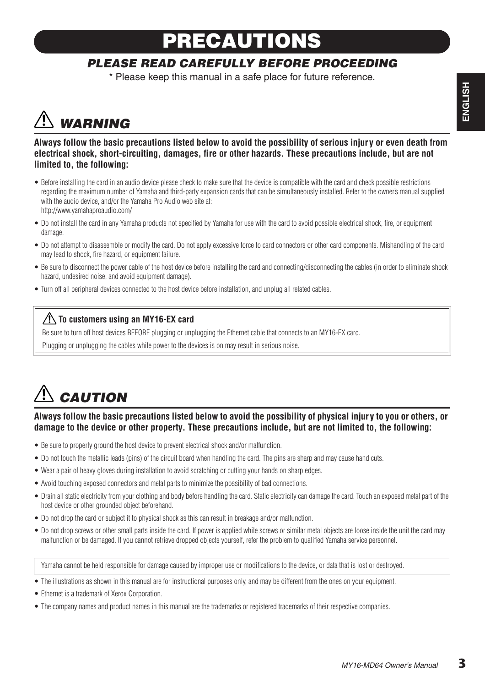# **PRECAUTIONS**

### *PLEASE READ CAREFULLY BEFORE PROCEEDING*

\* Please keep this manual in a safe place for future reference.

# *WARNING*

**Always follow the basic precautions listed below to avoid the possibility of serious injury or even death from electrical shock, short-circuiting, damages, fire or other hazards. These precautions include, but are not limited to, the following:**

- Before installing the card in an audio device please check to make sure that the device is compatible with the card and check possible restrictions regarding the maximum number of Yamaha and third-party expansion cards that can be simultaneously installed. Refer to the owner's manual supplied with the audio device, and/or the Yamaha Pro Audio web site at: http://www.yamahaproaudio.com/
- Do not install the card in any Yamaha products not specified by Yamaha for use with the card to avoid possible electrical shock, fire, or equipment damage.
- Do not attempt to disassemble or modify the card. Do not apply excessive force to card connectors or other card components. Mishandling of the card may lead to shock, fire hazard, or equipment failure.
- Be sure to disconnect the power cable of the host device before installing the card and connecting/disconnecting the cables (in order to eliminate shock hazard, undesired noise, and avoid equipment damage).
- Turn off all peripheral devices connected to the host device before installation, and unplug all related cables.

#### **To customers using an MY16-EX card**

Be sure to turn off host devices BEFORE plugging or unplugging the Ethernet cable that connects to an MY16-EX card.

Plugging or unplugging the cables while power to the devices is on may result in serious noise.

# *CAUTION*

#### **Always follow the basic precautions listed below to avoid the possibility of physical injury to you or others, or damage to the device or other property. These precautions include, but are not limited to, the following:**

- Be sure to properly ground the host device to prevent electrical shock and/or malfunction.
- Do not touch the metallic leads (pins) of the circuit board when handling the card. The pins are sharp and may cause hand cuts.
- Wear a pair of heavy gloves during installation to avoid scratching or cutting your hands on sharp edges.
- Avoid touching exposed connectors and metal parts to minimize the possibility of bad connections.
- Drain all static electricity from your clothing and body before handling the card. Static electricity can damage the card. Touch an exposed metal part of the host device or other grounded object beforehand.
- Do not drop the card or subject it to physical shock as this can result in breakage and/or malfunction.
- Do not drop screws or other small parts inside the card. If power is applied while screws or similar metal objects are loose inside the unit the card may malfunction or be damaged. If you cannot retrieve dropped objects yourself, refer the problem to qualified Yamaha service personnel.

Yamaha cannot be held responsible for damage caused by improper use or modifications to the device, or data that is lost or destroyed.

- The illustrations as shown in this manual are for instructional purposes only, and may be different from the ones on your equipment.
- Ethernet is a trademark of Xerox Corporation.
- The company names and product names in this manual are the trademarks or registered trademarks of their respective companies.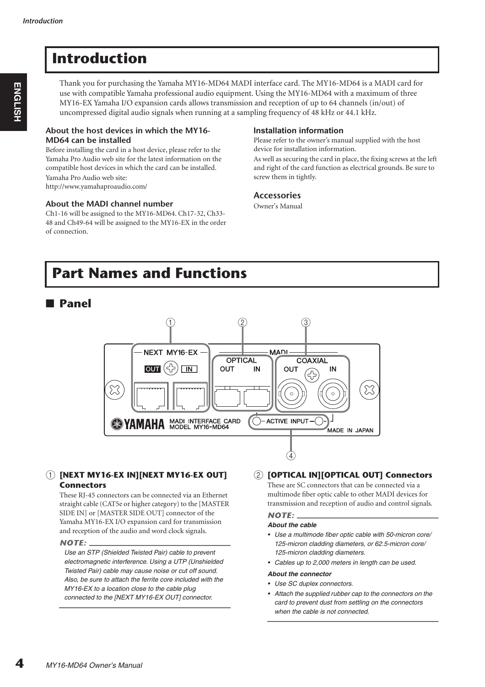## **Introduction**

Thank you for purchasing the Yamaha MY16-MD64 MADI interface card. The MY16-MD64 is a MADI card for use with compatible Yamaha professional audio equipment. Using the MY16-MD64 with a maximum of three MY16-EX Yamaha I/O expansion cards allows transmission and reception of up to 64 channels (in/out) of uncompressed digital audio signals when running at a sampling frequency of 48 kHz or 44.1 kHz.

#### **About the host devices in which the MY16- MD64 can be installed**

Before installing the card in a host device, please refer to the Yamaha Pro Audio web site for the latest information on the compatible host devices in which the card can be installed. Yamaha Pro Audio web site:

[http://www.yamahaproaudio.com/](http://www.yamahaproaudio.com)

#### **About the MADI channel number**

Ch1-16 will be assigned to the MY16-MD64. Ch17-32, Ch33- 48 and Ch49-64 will be assigned to the MY16-EX in the order of connection.

#### **Installation information**

Please refer to the owner's manual supplied with the host device for installation information. As well as securing the card in place, the fixing screws at the left

and right of the card function as electrical grounds. Be sure to screw them in tightly.

#### **Accessories**

Owner's Manual

### **Part Names and Functions**

#### ■ **Panel**



#### A **[NEXT MY16-EX IN][NEXT MY16-EX OUT] Connectors**

These RJ-45 connectors can be connected via an Ethernet straight cable (CAT5e or higher category) to the [MASTER SIDE IN] or [MASTER SIDE OUT] connector of the Yamaha MY16-EX I/O expansion card for transmission and reception of the audio and word clock signals.

#### *NOTE:*

*Use an STP (Shielded Twisted Pair) cable to prevent electromagnetic interference. Using a UTP (Unshielded Twisted Pair) cable may cause noise or cut off sound. Also, be sure to attach the ferrite core included with the MY16-EX to a location close to the cable plug connected to the [NEXT MY16-EX OUT] connector.*

#### B **[OPTICAL IN][OPTICAL OUT] Connectors**

These are SC connectors that can be connected via a multimode fiber optic cable to other MADI devices for transmission and reception of audio and control signals.

#### *NOTE:*

#### *About the cable*

- *• Use a multimode fiber optic cable with 50-micron core/ 125-micron cladding diameters, or 62.5-micron core/ 125-micron cladding diameters.*
- *• Cables up to 2,000 meters in length can be used.*

#### *About the connector*

- *• Use SC duplex connectors.*
- *• Attach the supplied rubber cap to the connectors on the card to prevent dust from settling on the connectors when the cable is not connected.*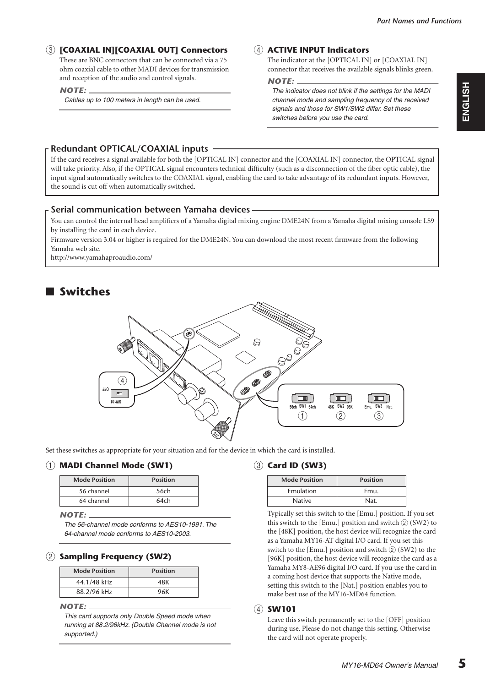#### **(3) [COAXIAL IN][COAXIAL OUT] Connectors**

These are BNC connectors that can be connected via a 75 ohm coaxial cable to other MADI devices for transmission and reception of the audio and control signals.

#### *NOTE:*

*Cables up to 100 meters in length can be used.*

#### **(4) ACTIVE INPUT Indicators**

The indicator at the [OPTICAL IN] or [COAXIAL IN] connector that receives the available signals blinks green.

#### *NOTE:*

*The indicator does not blink if the settings for the MADI channel mode and sampling frequency of the received signals and those for SW1/SW2 differ. Set these switches before you use the card.*

#### **Redundant OPTICAL/COAXIAL inputs**

If the card receives a signal available for both the [OPTICAL IN] connector and the [COAXIAL IN] connector, the OPTICAL signal will take priority. Also, if the OPTICAL signal encounters technical difficulty (such as a disconnection of the fiber optic cable), the input signal automatically switches to the COAXIAL signal, enabling the card to take advantage of its redundant inputs. However, the sound is cut off when automatically switched.

#### **Serial communication between Yamaha devices**

You can control the internal head amplifiers of a Yamaha digital mixing engine DME24N from a Yamaha digital mixing console LS9 by installing the card in each device.

[Firmware version 3.04 or higher is required for the DME24N. You can download the most recent firmware from the following](http://www.yamahaproaudio.com)  Yamaha web site.

http://www.yamahaproaudio.com/

#### ■ **Switches**



Set these switches as appropriate for your situation and for the device in which the card is installed.

#### A **MADI Channel Mode (SW1)**

| <b>Mode Position</b> | <b>Position</b> |
|----------------------|-----------------|
| 56 channel           | 56ch            |
| 64 channel           | 64ch            |

#### *NOTE:*

*The 56-channel mode conforms to AES10-1991. The 64-channel mode conforms to AES10-2003.*

#### **2** Sampling Frequency (SW2)

| <b>Mode Position</b> | <b>Position</b> |
|----------------------|-----------------|
| 44.1/48 kHz          | 48K             |
| 88.2/96 kHz          | 96K             |

#### *NOTE:*

*This card supports only Double Speed mode when running at 88.2/96kHz. (Double Channel mode is not supported.)*

#### C **Card ID (SW3)**

| <b>Mode Position</b> | <b>Position</b> |
|----------------------|-----------------|
| Emulation            | Emu.            |
| <b>Native</b>        | Nat.            |

Typically set this switch to the [Emu.] position. If you set this switch to the [Emu.] position and switch  $(2)$  (SW2) to the [48K] position, the host device will recognize the card as a Yamaha MY16-AT digital I/O card. If you set this switch to the [Emu.] position and switch  $(2)$  (SW2) to the [96K] position, the host device will recognize the card as a Yamaha MY8-AE96 digital I/O card. If you use the card in a coming host device that supports the Native mode, setting this switch to the [Nat.] position enables you to make best use of the MY16-MD64 function.

#### D **SW101**

Leave this switch permanently set to the [OFF] position during use. Please do not change this setting. Otherwise the card will not operate properly.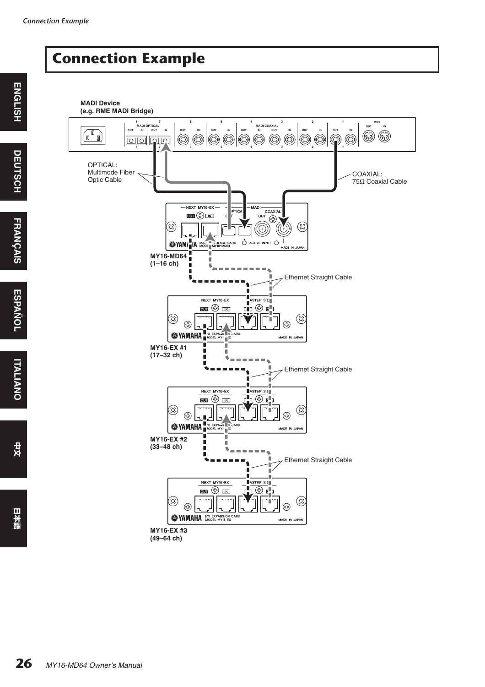**Î**

# **Connection Example**

#### **MADI Device (e.g. RME MADI Bridge)**



**(49–64 ch)**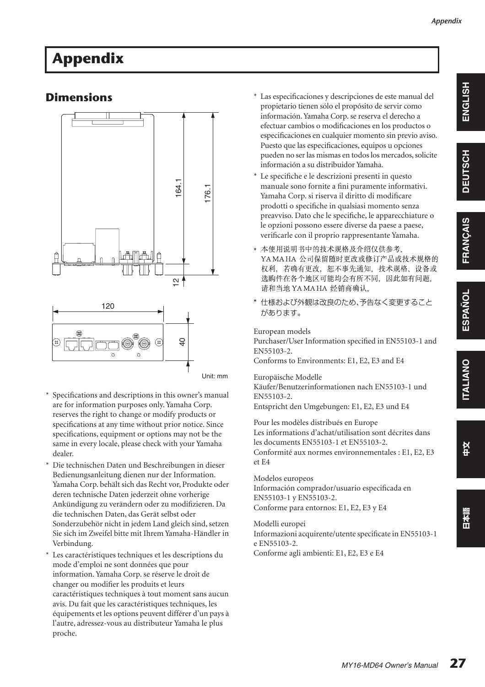# **Appendix**

#### **Dimensions**



- \* Specifications and descriptions in this owner's manual are for information purposes only. Yamaha Corp. reserves the right to change or modify products or specifications at any time without prior notice. Since specifications, equipment or options may not be the same in every locale, please check with your Yamaha dealer.
- \* Die technischen Daten und Beschreibungen in dieser Bedienungsanleitung dienen nur der Information. Yamaha Corp. behält sich das Recht vor, Produkte oder deren technische Daten jederzeit ohne vorherige Ankündigung zu verändern oder zu modifizieren. Da die technischen Daten, das Gerät selbst oder Sonderzubehör nicht in jedem Land gleich sind, setzen Sie sich im Zweifel bitte mit Ihrem Yamaha-Händler in Verbindung.
- \* Les caractéristiques techniques et les descriptions du mode d'emploi ne sont données que pour information. Yamaha Corp. se réserve le droit de changer ou modifier les produits et leurs caractéristiques techniques à tout moment sans aucun avis. Du fait que les caractéristiques techniques, les équipements et les options peuvent différer d'un pays à l'autre, adressez-vous au distributeur Yamaha le plus proche.
- \* Las especificaciones y descripciones de este manual del propietario tienen sólo el propósito de servir como información. Yamaha Corp. se reserva el derecho a efectuar cambios o modificaciones en los productos o especificaciones en cualquier momento sin previo aviso. Puesto que las especificaciones, equipos u opciones pueden no ser las mismas en todos los mercados, solicite información a su distribuidor Yamaha.
- Le specifiche e le descrizioni presenti in questo manuale sono fornite a fini puramente informativi. Yamaha Corp. si riserva il diritto di modificare prodotti o specifiche in qualsiasi momento senza preavviso. Dato che le specifiche, le apparecchiature o le opzioni possono essere diverse da paese a paese, verificarle con il proprio rappresentante Yamaha.
- \* 本使用说明书中的技术规格及介绍仅供参考。 YAMAHA 公司保留随时更改或修订产品或技术规格的 权利, 若确有更改, 恕不事先通知。技术规格、设备或 选购件在各个地区可能均会有所不同, 因此如有问题, 请和当地 YAMAHA 经销商确认。
- \* 仕様および外観は改良のため、予告なく変更すること があります。

#### European models

Purchaser/User Information specified in EN55103-1 and EN55103-2.

Conforms to Environments: E1, E2, E3 and E4

#### Europäische Modelle

Käufer/Benutzerinformationen nach EN55103-1 und EN55103-2.

Entspricht den Umgebungen: E1, E2, E3 und E4

Pour les modèles distribués en Europe Les informations d'achat/utilisation sont décrites dans les documents EN55103-1 et EN55103-2. Conformité aux normes environnementales : E1, E2, E3 et E4

Modelos europeos

Información comprador/usuario especificada en EN55103-1 y EN55103-2. Conforme para entornos: E1, E2, E3 y E4

Modelli europei Informazioni acquirente/utente specificate in EN55103-1 e EN55103-2. Conforme agli ambienti: E1, E2, E3 e E4